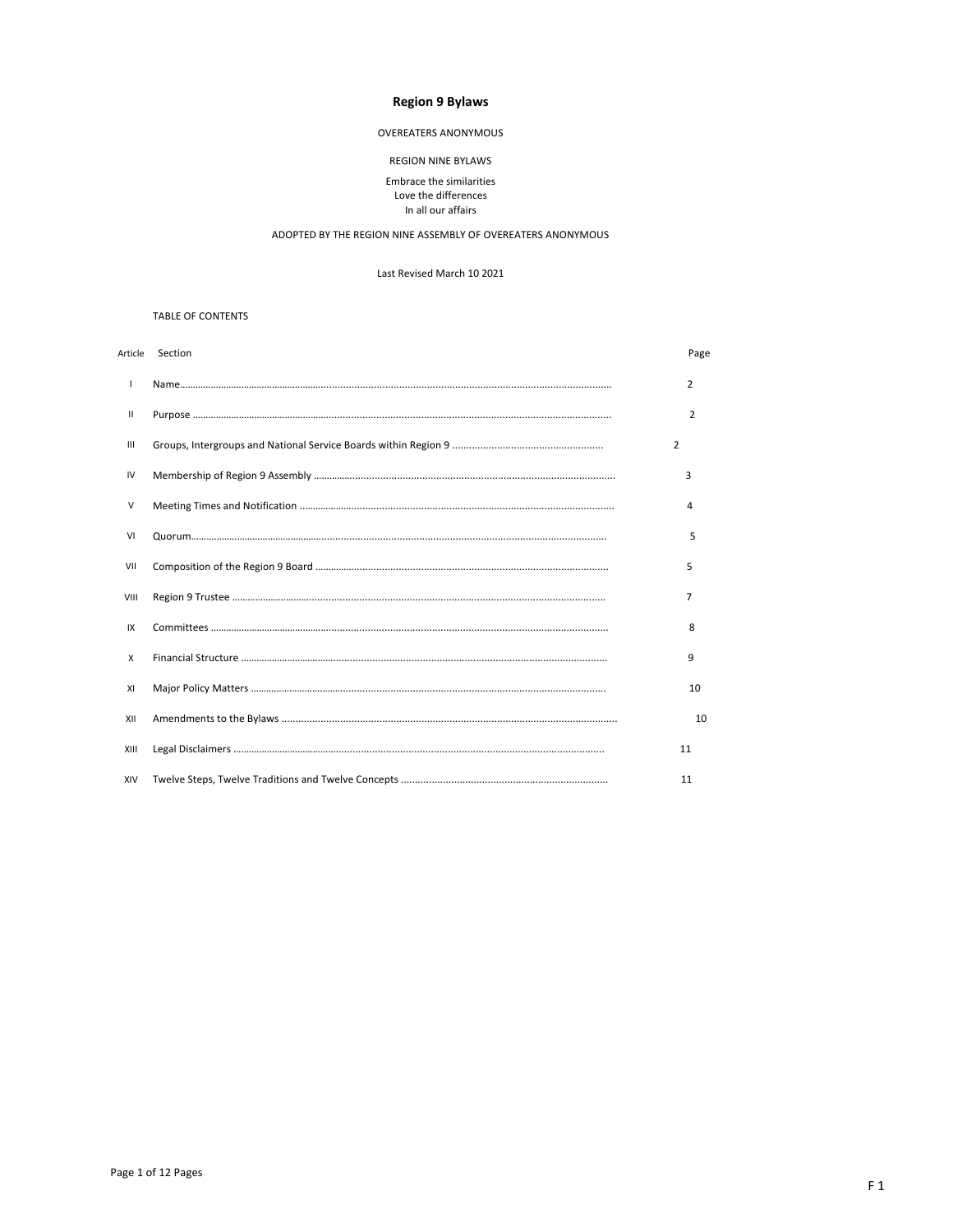## **Region 9 Bylaws**

## **OVEREATERS ANONYMOUS**

### REGION NINE BYLAWS

## Embrace the similarities Love the differences In all our affairs

#### ADOPTED BY THE REGION NINE ASSEMBLY OF OVEREATERS ANONYMOUS

## Last Revised March 10 2021

### TABLE OF CONTENTS

| Article      | Section |                | Page          |
|--------------|---------|----------------|---------------|
| $\mathbf{I}$ |         |                | 2             |
| Ш            |         |                | $\mathcal{L}$ |
| Ш            |         | $\overline{2}$ |               |
| IV           |         | 3              |               |
| $\vee$       |         | 4              |               |
| VI           |         |                | 5             |
| VII          |         | 5              |               |
| VIII         |         | 7              |               |
| IX           |         |                | 8             |
| X            |         |                | 9             |
| XI           |         |                | 10            |
| XII          |         |                | 10            |
| XIII         |         | 11             |               |
| XIV          |         | 11             |               |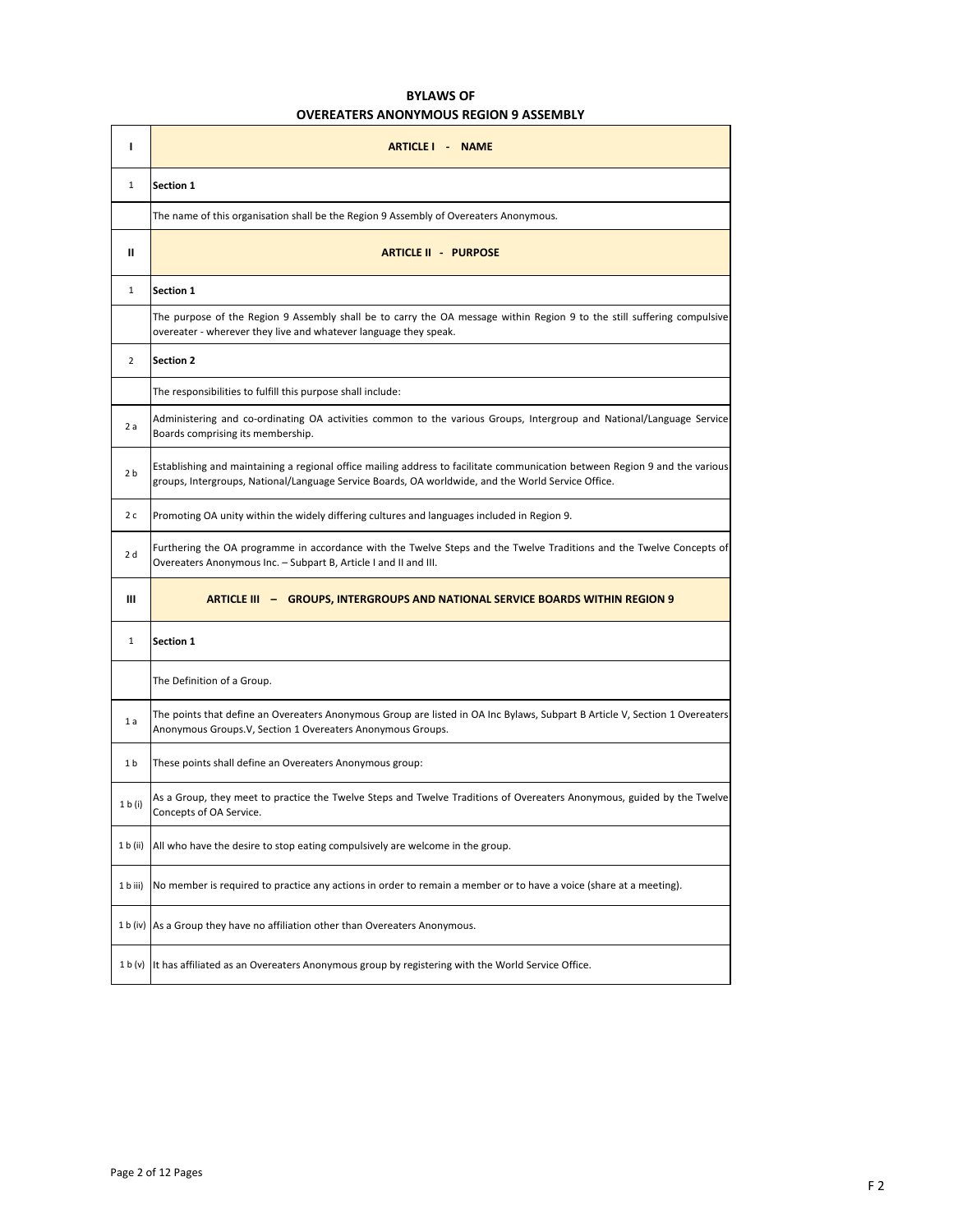# **BYLAWS OF OVEREATERS ANONYMOUS REGION 9 ASSEMBLY**

| ı              | ARTICLE I - NAME                                                                                                                                                                                                                  |
|----------------|-----------------------------------------------------------------------------------------------------------------------------------------------------------------------------------------------------------------------------------|
| $\mathbf{1}$   | Section 1                                                                                                                                                                                                                         |
|                | The name of this organisation shall be the Region 9 Assembly of Overeaters Anonymous.                                                                                                                                             |
| Ш              | <b>ARTICLE II - PURPOSE</b>                                                                                                                                                                                                       |
| $\mathbf{1}$   | Section 1                                                                                                                                                                                                                         |
|                | The purpose of the Region 9 Assembly shall be to carry the OA message within Region 9 to the still suffering compulsive<br>overeater - wherever they live and whatever language they speak.                                       |
| $\overline{2}$ | <b>Section 2</b>                                                                                                                                                                                                                  |
|                | The responsibilities to fulfill this purpose shall include:                                                                                                                                                                       |
| 2a             | Administering and co-ordinating OA activities common to the various Groups, Intergroup and National/Language Service<br>Boards comprising its membership.                                                                         |
| 2 <sub>b</sub> | Establishing and maintaining a regional office mailing address to facilitate communication between Region 9 and the various<br>groups, Intergroups, National/Language Service Boards, OA worldwide, and the World Service Office. |
| 2c             | Promoting OA unity within the widely differing cultures and languages included in Region 9.                                                                                                                                       |
| 2d             | Furthering the OA programme in accordance with the Twelve Steps and the Twelve Traditions and the Twelve Concepts of<br>Overeaters Anonymous Inc. - Subpart B, Article I and II and III.                                          |
| Ш              | <b>ARTICLE III - GROUPS, INTERGROUPS AND NATIONAL SERVICE BOARDS WITHIN REGION 9</b>                                                                                                                                              |
| $\mathbf{1}$   | Section 1                                                                                                                                                                                                                         |
|                | The Definition of a Group.                                                                                                                                                                                                        |
| 1a             | The points that define an Overeaters Anonymous Group are listed in OA Inc Bylaws, Subpart B Article V, Section 1 Overeaters<br>Anonymous Groups.V, Section 1 Overeaters Anonymous Groups.                                         |
| 1 <sub>b</sub> | These points shall define an Overeaters Anonymous group:                                                                                                                                                                          |
| 1 b (i)        | As a Group, they meet to practice the Twelve Steps and Twelve Traditions of Overeaters Anonymous, guided by the Twelve<br>Concepts of OA Service.                                                                                 |
| 1 b (ii)       | All who have the desire to stop eating compulsively are welcome in the group.                                                                                                                                                     |
| 1 b iii)       | No member is required to practice any actions in order to remain a member or to have a voice (share at a meeting).                                                                                                                |
| 1 b (iv)       | As a Group they have no affiliation other than Overeaters Anonymous.                                                                                                                                                              |
| 1 b (v)        | It has affiliated as an Overeaters Anonymous group by registering with the World Service Office.                                                                                                                                  |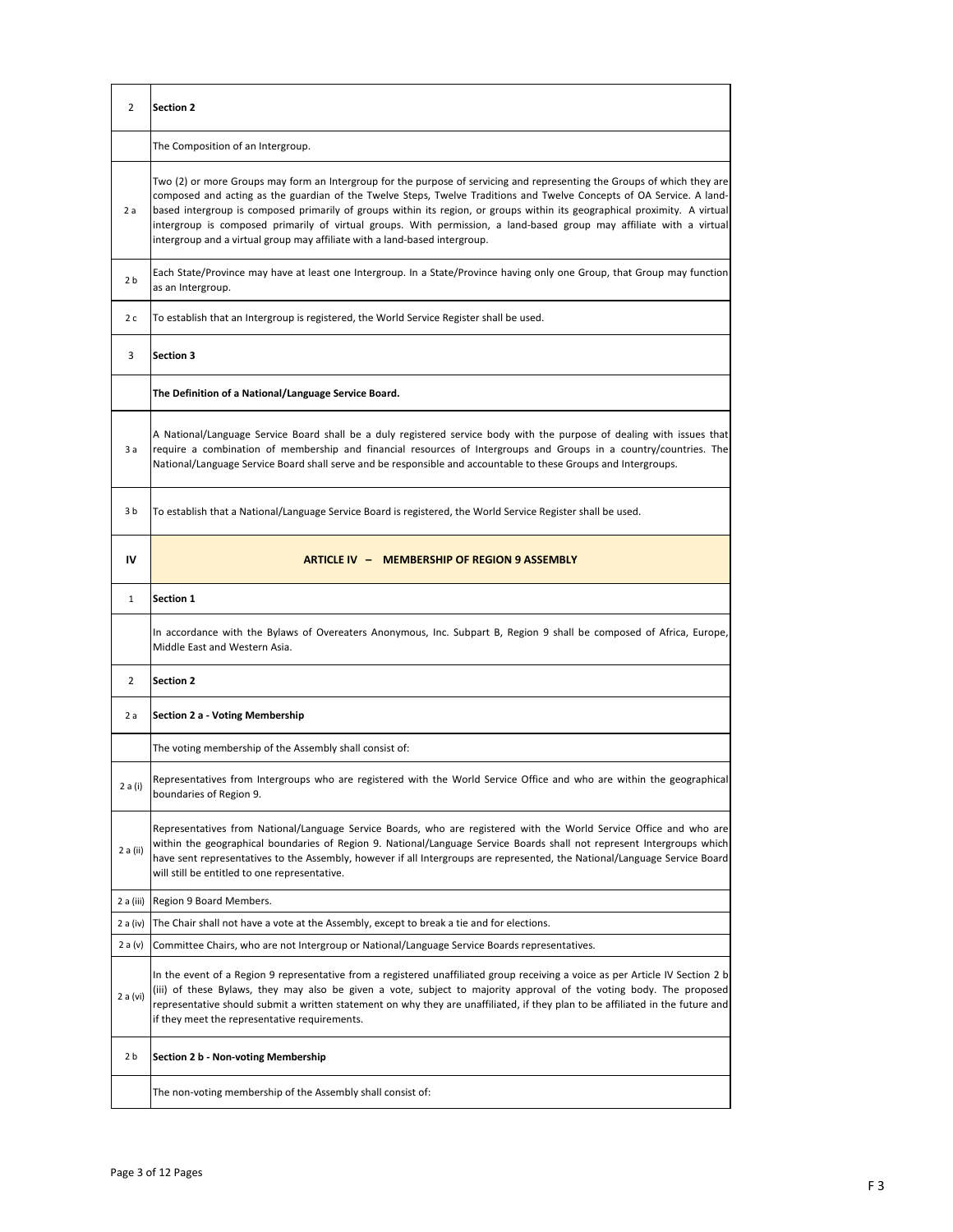| $\overline{2}$ | <b>Section 2</b>                                                                                                                                                                                                                                                                                                                                                                                                                                                                                                                                                                      |
|----------------|---------------------------------------------------------------------------------------------------------------------------------------------------------------------------------------------------------------------------------------------------------------------------------------------------------------------------------------------------------------------------------------------------------------------------------------------------------------------------------------------------------------------------------------------------------------------------------------|
|                | The Composition of an Intergroup.                                                                                                                                                                                                                                                                                                                                                                                                                                                                                                                                                     |
| 2a             | Two (2) or more Groups may form an Intergroup for the purpose of servicing and representing the Groups of which they are<br>composed and acting as the guardian of the Twelve Steps, Twelve Traditions and Twelve Concepts of OA Service. A land-<br>based intergroup is composed primarily of groups within its region, or groups within its geographical proximity. A virtual<br>intergroup is composed primarily of virtual groups. With permission, a land-based group may affiliate with a virtual<br>intergroup and a virtual group may affiliate with a land-based intergroup. |
| 2 <sub>b</sub> | Each State/Province may have at least one Intergroup. In a State/Province having only one Group, that Group may function<br>as an Intergroup.                                                                                                                                                                                                                                                                                                                                                                                                                                         |
| 2c             | To establish that an Intergroup is registered, the World Service Register shall be used.                                                                                                                                                                                                                                                                                                                                                                                                                                                                                              |
| 3              | Section 3                                                                                                                                                                                                                                                                                                                                                                                                                                                                                                                                                                             |
|                | The Definition of a National/Language Service Board.                                                                                                                                                                                                                                                                                                                                                                                                                                                                                                                                  |
| 3 a            | A National/Language Service Board shall be a duly registered service body with the purpose of dealing with issues that<br>require a combination of membership and financial resources of Intergroups and Groups in a country/countries. The<br>National/Language Service Board shall serve and be responsible and accountable to these Groups and Intergroups.                                                                                                                                                                                                                        |
| 3b             | To establish that a National/Language Service Board is registered, the World Service Register shall be used.                                                                                                                                                                                                                                                                                                                                                                                                                                                                          |
| IV             | ARTICLE IV - MEMBERSHIP OF REGION 9 ASSEMBLY                                                                                                                                                                                                                                                                                                                                                                                                                                                                                                                                          |
| $\mathbf{1}$   | Section 1                                                                                                                                                                                                                                                                                                                                                                                                                                                                                                                                                                             |
|                | In accordance with the Bylaws of Overeaters Anonymous, Inc. Subpart B, Region 9 shall be composed of Africa, Europe,<br>Middle East and Western Asia.                                                                                                                                                                                                                                                                                                                                                                                                                                 |
| $\overline{2}$ | <b>Section 2</b>                                                                                                                                                                                                                                                                                                                                                                                                                                                                                                                                                                      |
| 2a             | Section 2 a - Voting Membership                                                                                                                                                                                                                                                                                                                                                                                                                                                                                                                                                       |
|                | The voting membership of the Assembly shall consist of:                                                                                                                                                                                                                                                                                                                                                                                                                                                                                                                               |
| 2 a (i)        | Representatives from Intergroups who are registered with the World Service Office and who are within the geographical<br>boundaries of Region 9.                                                                                                                                                                                                                                                                                                                                                                                                                                      |
| 2 a (ii)       | Representatives from National/Language Service Boards, who are registered with the World Service Office and who are<br>within the geographical boundaries of Region 9. National/Language Service Boards shall not represent Intergroups which<br>have sent representatives to the Assembly, however if all Intergroups are represented, the National/Language Service Board<br>will still be entitled to one representative.                                                                                                                                                          |
| 2 a (iii)      | Region 9 Board Members.                                                                                                                                                                                                                                                                                                                                                                                                                                                                                                                                                               |
| 2 a (iv)       | The Chair shall not have a vote at the Assembly, except to break a tie and for elections.                                                                                                                                                                                                                                                                                                                                                                                                                                                                                             |
| 2 a (v)        | Committee Chairs, who are not Intergroup or National/Language Service Boards representatives.                                                                                                                                                                                                                                                                                                                                                                                                                                                                                         |
| 2 a (vi)       | In the event of a Region 9 representative from a registered unaffiliated group receiving a voice as per Article IV Section 2 b<br>(iii) of these Bylaws, they may also be given a vote, subject to majority approval of the voting body. The proposed<br>representative should submit a written statement on why they are unaffiliated, if they plan to be affiliated in the future and<br>if they meet the representative requirements.                                                                                                                                              |
| 2 b            | Section 2 b - Non-voting Membership                                                                                                                                                                                                                                                                                                                                                                                                                                                                                                                                                   |
|                | The non-voting membership of the Assembly shall consist of:                                                                                                                                                                                                                                                                                                                                                                                                                                                                                                                           |
|                |                                                                                                                                                                                                                                                                                                                                                                                                                                                                                                                                                                                       |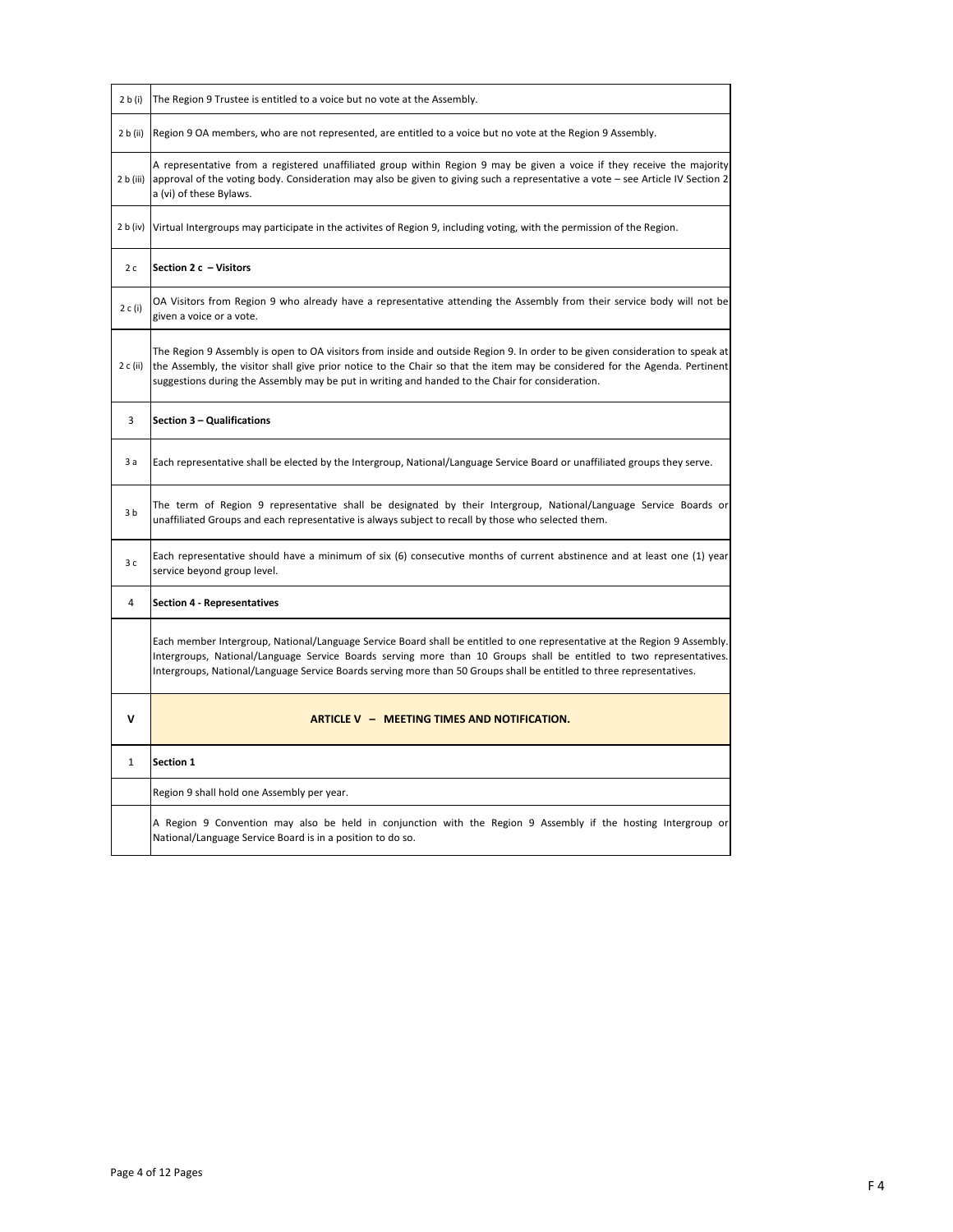| 2 b (i)        | The Region 9 Trustee is entitled to a voice but no vote at the Assembly.                                                                                                                                                                                                                                                                                                  |
|----------------|---------------------------------------------------------------------------------------------------------------------------------------------------------------------------------------------------------------------------------------------------------------------------------------------------------------------------------------------------------------------------|
| 2 b (ii)       | Region 9 OA members, who are not represented, are entitled to a voice but no vote at the Region 9 Assembly.                                                                                                                                                                                                                                                               |
| 2 b (iii)      | A representative from a registered unaffiliated group within Region 9 may be given a voice if they receive the majority<br>approval of the voting body. Consideration may also be given to giving such a representative a vote – see Article IV Section 2<br>a (vi) of these Bylaws.                                                                                      |
| 2 b (iv)       | Virtual Intergroups may participate in the activites of Region 9, including voting, with the permission of the Region.                                                                                                                                                                                                                                                    |
| 2c             | Section 2 $c - V$ isitors                                                                                                                                                                                                                                                                                                                                                 |
| 2 c (i)        | OA Visitors from Region 9 who already have a representative attending the Assembly from their service body will not be<br>given a voice or a vote.                                                                                                                                                                                                                        |
| 2 c (ii)       | The Region 9 Assembly is open to OA visitors from inside and outside Region 9. In order to be given consideration to speak at<br>the Assembly, the visitor shall give prior notice to the Chair so that the item may be considered for the Agenda. Pertinent<br>suggestions during the Assembly may be put in writing and handed to the Chair for consideration.          |
| 3              | Section 3 - Qualifications                                                                                                                                                                                                                                                                                                                                                |
| 3a             | Each representative shall be elected by the Intergroup, National/Language Service Board or unaffiliated groups they serve.                                                                                                                                                                                                                                                |
| 3 <sub>b</sub> | The term of Region 9 representative shall be designated by their Intergroup, National/Language Service Boards or<br>unaffiliated Groups and each representative is always subject to recall by those who selected them.                                                                                                                                                   |
| 3 с            | Each representative should have a minimum of six (6) consecutive months of current abstinence and at least one (1) year<br>service beyond group level.                                                                                                                                                                                                                    |
| 4              | Section 4 - Representatives                                                                                                                                                                                                                                                                                                                                               |
|                | Each member Intergroup, National/Language Service Board shall be entitled to one representative at the Region 9 Assembly.<br>Intergroups, National/Language Service Boards serving more than 10 Groups shall be entitled to two representatives.<br>Intergroups, National/Language Service Boards serving more than 50 Groups shall be entitled to three representatives. |
| v              | ARTICLE V - MEETING TIMES AND NOTIFICATION.                                                                                                                                                                                                                                                                                                                               |
| 1              | Section 1                                                                                                                                                                                                                                                                                                                                                                 |
|                | Region 9 shall hold one Assembly per year.                                                                                                                                                                                                                                                                                                                                |
|                | A Region 9 Convention may also be held in conjunction with the Region 9 Assembly if the hosting Intergroup or<br>National/Language Service Board is in a position to do so.                                                                                                                                                                                               |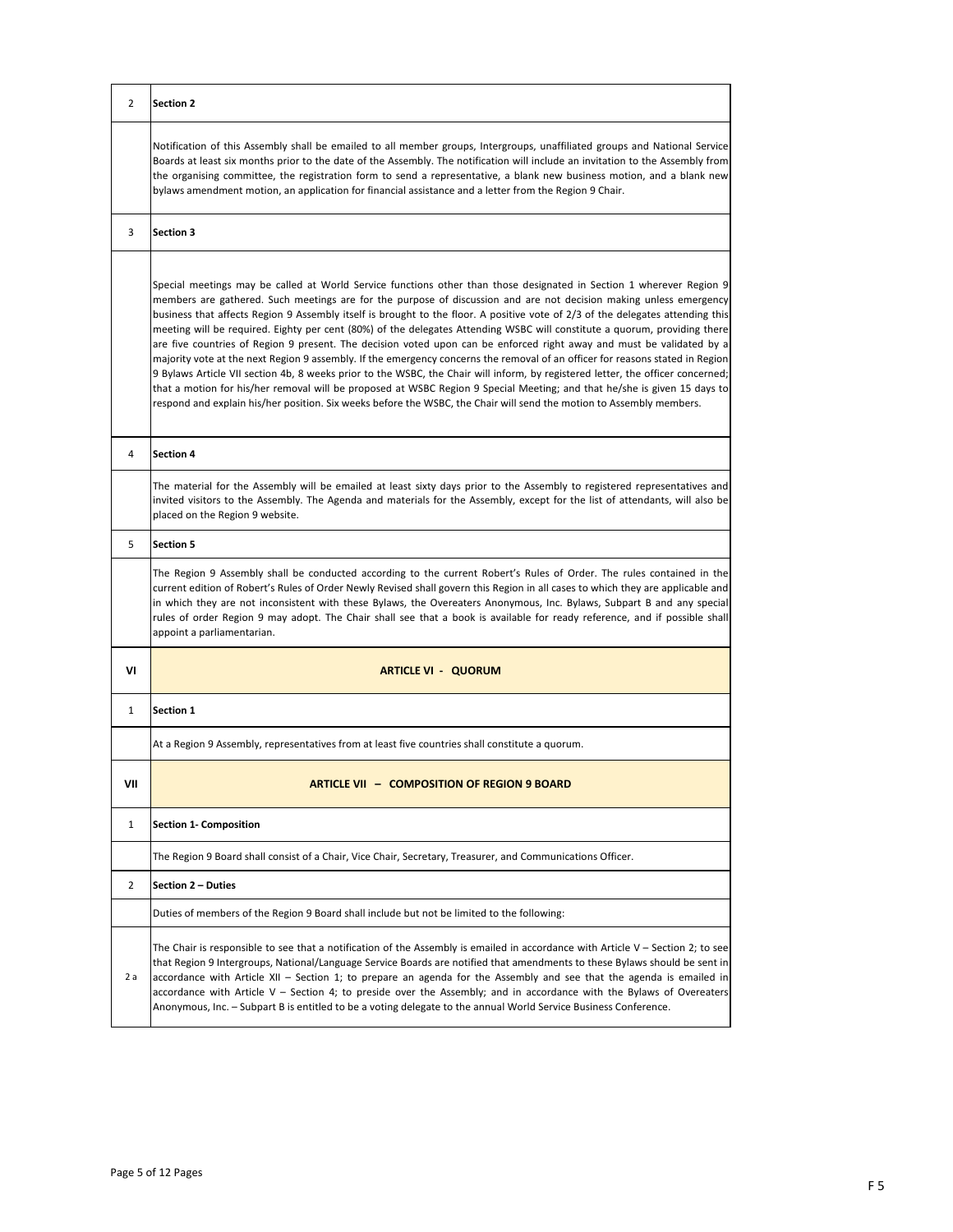| 2              | Section 2                                                                                                                                                                                                                                                                                                                                                                                                                                                                                                                                                                                                                                                                                                                                                                                                                                                                                                                                                                                                                                                                                                                                                  |
|----------------|------------------------------------------------------------------------------------------------------------------------------------------------------------------------------------------------------------------------------------------------------------------------------------------------------------------------------------------------------------------------------------------------------------------------------------------------------------------------------------------------------------------------------------------------------------------------------------------------------------------------------------------------------------------------------------------------------------------------------------------------------------------------------------------------------------------------------------------------------------------------------------------------------------------------------------------------------------------------------------------------------------------------------------------------------------------------------------------------------------------------------------------------------------|
|                | Notification of this Assembly shall be emailed to all member groups, Intergroups, unaffiliated groups and National Service<br>Boards at least six months prior to the date of the Assembly. The notification will include an invitation to the Assembly from<br>the organising committee, the registration form to send a representative, a blank new business motion, and a blank new<br>bylaws amendment motion, an application for financial assistance and a letter from the Region 9 Chair.                                                                                                                                                                                                                                                                                                                                                                                                                                                                                                                                                                                                                                                           |
| 3              | <b>Section 3</b>                                                                                                                                                                                                                                                                                                                                                                                                                                                                                                                                                                                                                                                                                                                                                                                                                                                                                                                                                                                                                                                                                                                                           |
|                | Special meetings may be called at World Service functions other than those designated in Section 1 wherever Region 9<br>members are gathered. Such meetings are for the purpose of discussion and are not decision making unless emergency<br>business that affects Region 9 Assembly itself is brought to the floor. A positive vote of 2/3 of the delegates attending this<br>meeting will be required. Eighty per cent (80%) of the delegates Attending WSBC will constitute a quorum, providing there<br>are five countries of Region 9 present. The decision voted upon can be enforced right away and must be validated by a<br>majority vote at the next Region 9 assembly. If the emergency concerns the removal of an officer for reasons stated in Region<br>9 Bylaws Article VII section 4b, 8 weeks prior to the WSBC, the Chair will inform, by registered letter, the officer concerned;<br>that a motion for his/her removal will be proposed at WSBC Region 9 Special Meeting; and that he/she is given 15 days to<br>respond and explain his/her position. Six weeks before the WSBC, the Chair will send the motion to Assembly members. |
| 4              | <b>Section 4</b>                                                                                                                                                                                                                                                                                                                                                                                                                                                                                                                                                                                                                                                                                                                                                                                                                                                                                                                                                                                                                                                                                                                                           |
|                | The material for the Assembly will be emailed at least sixty days prior to the Assembly to registered representatives and<br>invited visitors to the Assembly. The Agenda and materials for the Assembly, except for the list of attendants, will also be<br>placed on the Region 9 website.                                                                                                                                                                                                                                                                                                                                                                                                                                                                                                                                                                                                                                                                                                                                                                                                                                                               |
| 5              | <b>Section 5</b>                                                                                                                                                                                                                                                                                                                                                                                                                                                                                                                                                                                                                                                                                                                                                                                                                                                                                                                                                                                                                                                                                                                                           |
|                | The Region 9 Assembly shall be conducted according to the current Robert's Rules of Order. The rules contained in the<br>current edition of Robert's Rules of Order Newly Revised shall govern this Region in all cases to which they are applicable and<br>in which they are not inconsistent with these Bylaws, the Overeaters Anonymous, Inc. Bylaws, Subpart B and any special<br>rules of order Region 9 may adopt. The Chair shall see that a book is available for ready reference, and if possible shall<br>appoint a parliamentarian.                                                                                                                                                                                                                                                                                                                                                                                                                                                                                                                                                                                                             |
| VI             | <b>ARTICLE VI - QUORUM</b>                                                                                                                                                                                                                                                                                                                                                                                                                                                                                                                                                                                                                                                                                                                                                                                                                                                                                                                                                                                                                                                                                                                                 |
| $\mathbf{1}$   | Section 1                                                                                                                                                                                                                                                                                                                                                                                                                                                                                                                                                                                                                                                                                                                                                                                                                                                                                                                                                                                                                                                                                                                                                  |
|                | At a Region 9 Assembly, representatives from at least five countries shall constitute a quorum.                                                                                                                                                                                                                                                                                                                                                                                                                                                                                                                                                                                                                                                                                                                                                                                                                                                                                                                                                                                                                                                            |
| VII            | <b>ARTICLE VII - COMPOSITION OF REGION 9 BOARD</b>                                                                                                                                                                                                                                                                                                                                                                                                                                                                                                                                                                                                                                                                                                                                                                                                                                                                                                                                                                                                                                                                                                         |
| 1              | <b>Section 1- Composition</b>                                                                                                                                                                                                                                                                                                                                                                                                                                                                                                                                                                                                                                                                                                                                                                                                                                                                                                                                                                                                                                                                                                                              |
|                | The Region 9 Board shall consist of a Chair, Vice Chair, Secretary, Treasurer, and Communications Officer.                                                                                                                                                                                                                                                                                                                                                                                                                                                                                                                                                                                                                                                                                                                                                                                                                                                                                                                                                                                                                                                 |
| $\overline{2}$ | Section 2 - Duties                                                                                                                                                                                                                                                                                                                                                                                                                                                                                                                                                                                                                                                                                                                                                                                                                                                                                                                                                                                                                                                                                                                                         |
|                | Duties of members of the Region 9 Board shall include but not be limited to the following:                                                                                                                                                                                                                                                                                                                                                                                                                                                                                                                                                                                                                                                                                                                                                                                                                                                                                                                                                                                                                                                                 |
| 2a             | The Chair is responsible to see that a notification of the Assembly is emailed in accordance with Article V – Section 2; to see<br>that Region 9 Intergroups, National/Language Service Boards are notified that amendments to these Bylaws should be sent in<br>accordance with Article XII - Section 1; to prepare an agenda for the Assembly and see that the agenda is emailed in<br>accordance with Article V - Section 4; to preside over the Assembly; and in accordance with the Bylaws of Overeaters<br>Anonymous, Inc. - Subpart B is entitled to be a voting delegate to the annual World Service Business Conference.                                                                                                                                                                                                                                                                                                                                                                                                                                                                                                                          |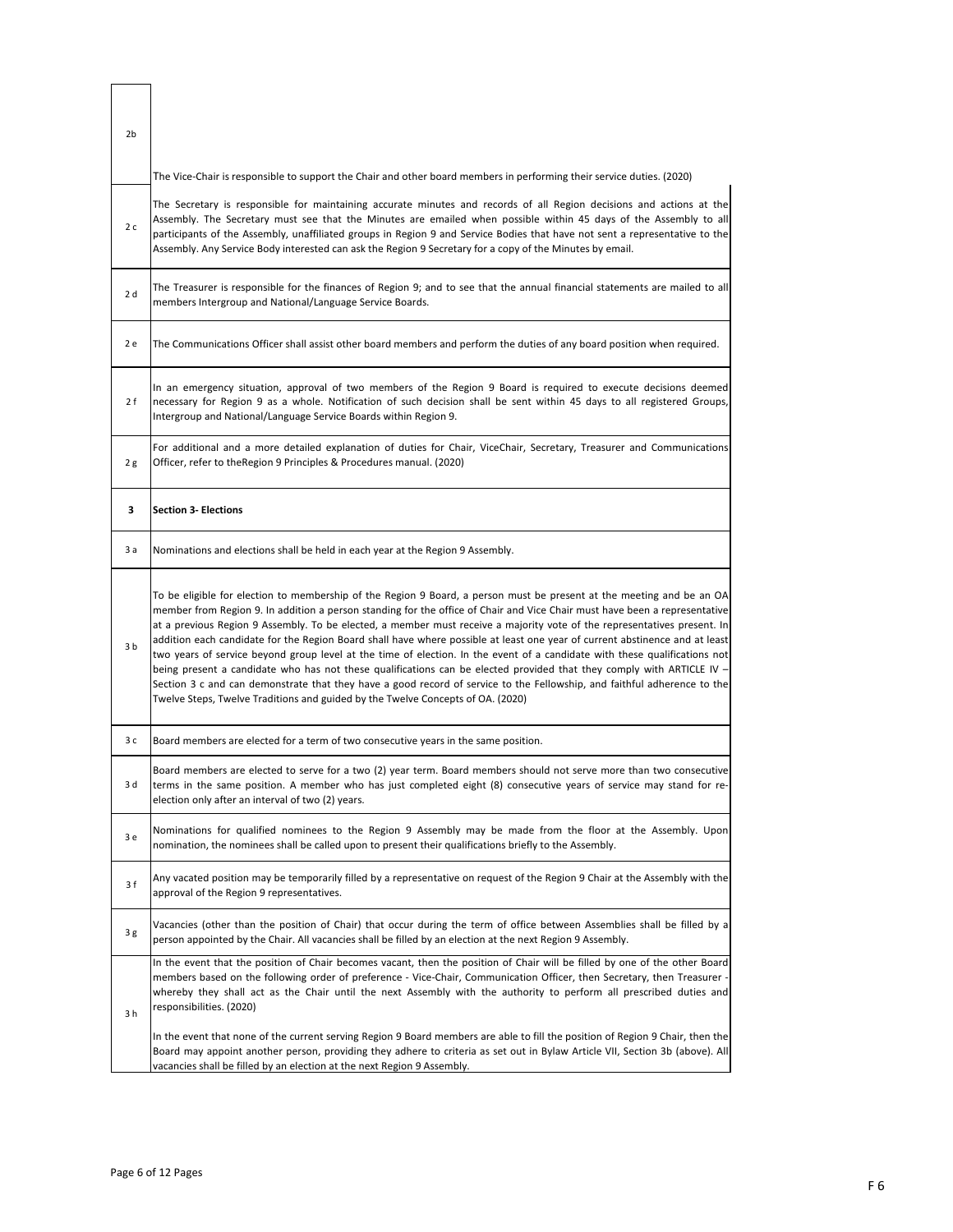| 2b  | The Vice-Chair is responsible to support the Chair and other board members in performing their service duties. (2020)                                                                                                                                                                                                                                                                                                                                                                                                                                                                                                                                                                                                                                                                                                                                                                                                                                                                |
|-----|--------------------------------------------------------------------------------------------------------------------------------------------------------------------------------------------------------------------------------------------------------------------------------------------------------------------------------------------------------------------------------------------------------------------------------------------------------------------------------------------------------------------------------------------------------------------------------------------------------------------------------------------------------------------------------------------------------------------------------------------------------------------------------------------------------------------------------------------------------------------------------------------------------------------------------------------------------------------------------------|
|     |                                                                                                                                                                                                                                                                                                                                                                                                                                                                                                                                                                                                                                                                                                                                                                                                                                                                                                                                                                                      |
| 2c  | The Secretary is responsible for maintaining accurate minutes and records of all Region decisions and actions at the<br>Assembly. The Secretary must see that the Minutes are emailed when possible within 45 days of the Assembly to all<br>participants of the Assembly, unaffiliated groups in Region 9 and Service Bodies that have not sent a representative to the<br>Assembly. Any Service Body interested can ask the Region 9 Secretary for a copy of the Minutes by email.                                                                                                                                                                                                                                                                                                                                                                                                                                                                                                 |
| 2d  | The Treasurer is responsible for the finances of Region 9; and to see that the annual financial statements are mailed to all<br>members Intergroup and National/Language Service Boards.                                                                                                                                                                                                                                                                                                                                                                                                                                                                                                                                                                                                                                                                                                                                                                                             |
| 2 e | The Communications Officer shall assist other board members and perform the duties of any board position when required.                                                                                                                                                                                                                                                                                                                                                                                                                                                                                                                                                                                                                                                                                                                                                                                                                                                              |
| 2f  | In an emergency situation, approval of two members of the Region 9 Board is required to execute decisions deemed<br>necessary for Region 9 as a whole. Notification of such decision shall be sent within 45 days to all registered Groups,<br>Intergroup and National/Language Service Boards within Region 9.                                                                                                                                                                                                                                                                                                                                                                                                                                                                                                                                                                                                                                                                      |
| 2g  | For additional and a more detailed explanation of duties for Chair, ViceChair, Secretary, Treasurer and Communications<br>Officer, refer to the Region 9 Principles & Procedures manual. (2020)                                                                                                                                                                                                                                                                                                                                                                                                                                                                                                                                                                                                                                                                                                                                                                                      |
| 3   | <b>Section 3- Elections</b>                                                                                                                                                                                                                                                                                                                                                                                                                                                                                                                                                                                                                                                                                                                                                                                                                                                                                                                                                          |
| 3а  | Nominations and elections shall be held in each year at the Region 9 Assembly.                                                                                                                                                                                                                                                                                                                                                                                                                                                                                                                                                                                                                                                                                                                                                                                                                                                                                                       |
| 3b  | To be eligible for election to membership of the Region 9 Board, a person must be present at the meeting and be an OA<br>member from Region 9. In addition a person standing for the office of Chair and Vice Chair must have been a representative<br>at a previous Region 9 Assembly. To be elected, a member must receive a majority vote of the representatives present. In<br>addition each candidate for the Region Board shall have where possible at least one year of current abstinence and at least<br>two years of service beyond group level at the time of election. In the event of a candidate with these qualifications not<br>being present a candidate who has not these qualifications can be elected provided that they comply with ARTICLE IV -<br>Section 3 c and can demonstrate that they have a good record of service to the Fellowship, and faithful adherence to the<br>Twelve Steps, Twelve Traditions and guided by the Twelve Concepts of OA. (2020) |
| 3 с | Board members are elected for a term of two consecutive years in the same position.                                                                                                                                                                                                                                                                                                                                                                                                                                                                                                                                                                                                                                                                                                                                                                                                                                                                                                  |
| 3 d | Board members are elected to serve for a two (2) year term. Board members should not serve more than two consecutive<br>terms in the same position. A member who has just completed eight (8) consecutive years of service may stand for re-<br>election only after an interval of two (2) years.                                                                                                                                                                                                                                                                                                                                                                                                                                                                                                                                                                                                                                                                                    |
| 3e  | Nominations for qualified nominees to the Region 9 Assembly may be made from the floor at the Assembly. Upon<br>nomination, the nominees shall be called upon to present their qualifications briefly to the Assembly.                                                                                                                                                                                                                                                                                                                                                                                                                                                                                                                                                                                                                                                                                                                                                               |
| 3f  | Any vacated position may be temporarily filled by a representative on request of the Region 9 Chair at the Assembly with the<br>approval of the Region 9 representatives.                                                                                                                                                                                                                                                                                                                                                                                                                                                                                                                                                                                                                                                                                                                                                                                                            |
| 3g  | Vacancies (other than the position of Chair) that occur during the term of office between Assemblies shall be filled by a<br>person appointed by the Chair. All vacancies shall be filled by an election at the next Region 9 Assembly.                                                                                                                                                                                                                                                                                                                                                                                                                                                                                                                                                                                                                                                                                                                                              |
| 3h  | In the event that the position of Chair becomes vacant, then the position of Chair will be filled by one of the other Board<br>members based on the following order of preference - Vice-Chair, Communication Officer, then Secretary, then Treasurer -<br>whereby they shall act as the Chair until the next Assembly with the authority to perform all prescribed duties and<br>responsibilities. (2020)                                                                                                                                                                                                                                                                                                                                                                                                                                                                                                                                                                           |
|     | In the event that none of the current serving Region 9 Board members are able to fill the position of Region 9 Chair, then the<br>Board may appoint another person, providing they adhere to criteria as set out in Bylaw Article VII, Section 3b (above). All<br>vacancies shall be filled by an election at the next Region 9 Assembly.                                                                                                                                                                                                                                                                                                                                                                                                                                                                                                                                                                                                                                            |

 $\Box$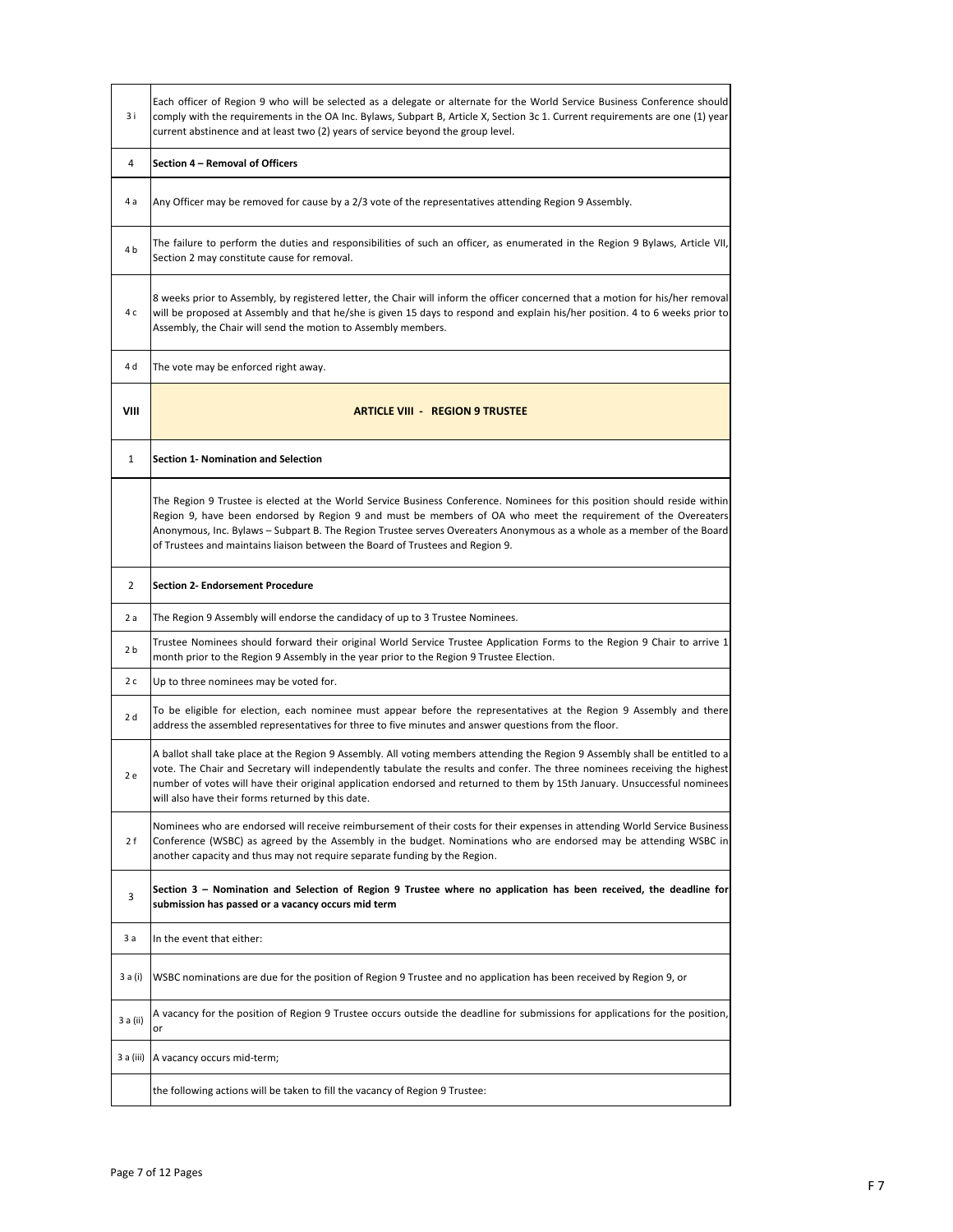| 3 i       | Each officer of Region 9 who will be selected as a delegate or alternate for the World Service Business Conference should<br>comply with the requirements in the OA Inc. Bylaws, Subpart B, Article X, Section 3c 1. Current requirements are one (1) year<br>current abstinence and at least two (2) years of service beyond the group level.                                                                                                        |
|-----------|-------------------------------------------------------------------------------------------------------------------------------------------------------------------------------------------------------------------------------------------------------------------------------------------------------------------------------------------------------------------------------------------------------------------------------------------------------|
| 4         | Section 4 - Removal of Officers                                                                                                                                                                                                                                                                                                                                                                                                                       |
| 4 a       | Any Officer may be removed for cause by a 2/3 vote of the representatives attending Region 9 Assembly.                                                                                                                                                                                                                                                                                                                                                |
| 4b        | The failure to perform the duties and responsibilities of such an officer, as enumerated in the Region 9 Bylaws, Article VII,<br>Section 2 may constitute cause for removal.                                                                                                                                                                                                                                                                          |
| 4 c       | 8 weeks prior to Assembly, by registered letter, the Chair will inform the officer concerned that a motion for his/her removal<br>will be proposed at Assembly and that he/she is given 15 days to respond and explain his/her position. 4 to 6 weeks prior to<br>Assembly, the Chair will send the motion to Assembly members.                                                                                                                       |
| 4 d       | The vote may be enforced right away.                                                                                                                                                                                                                                                                                                                                                                                                                  |
| VIII      | <b>ARTICLE VIII - REGION 9 TRUSTEE</b>                                                                                                                                                                                                                                                                                                                                                                                                                |
| 1         | <b>Section 1- Nomination and Selection</b>                                                                                                                                                                                                                                                                                                                                                                                                            |
|           | The Region 9 Trustee is elected at the World Service Business Conference. Nominees for this position should reside within<br>Region 9, have been endorsed by Region 9 and must be members of OA who meet the requirement of the Overeaters<br>Anonymous, Inc. Bylaws – Subpart B. The Region Trustee serves Overeaters Anonymous as a whole as a member of the Board<br>of Trustees and maintains liaison between the Board of Trustees and Region 9. |
| 2         | <b>Section 2- Endorsement Procedure</b>                                                                                                                                                                                                                                                                                                                                                                                                               |
| 2 a       | The Region 9 Assembly will endorse the candidacy of up to 3 Trustee Nominees.                                                                                                                                                                                                                                                                                                                                                                         |
| 2 b       | Trustee Nominees should forward their original World Service Trustee Application Forms to the Region 9 Chair to arrive 1<br>month prior to the Region 9 Assembly in the year prior to the Region 9 Trustee Election.                                                                                                                                                                                                                                  |
| 2c        | Up to three nominees may be voted for.                                                                                                                                                                                                                                                                                                                                                                                                                |
| 2d        | To be eligible for election, each nominee must appear before the representatives at the Region 9 Assembly and there<br>address the assembled representatives for three to five minutes and answer questions from the floor.                                                                                                                                                                                                                           |
| 2 e       | A ballot shall take place at the Region 9 Assembly. All voting members attending the Region 9 Assembly shall be entitled to a<br>vote. The Chair and Secretary will independently tabulate the results and confer. The three nominees receiving the highest<br>number of votes will have their original application endorsed and returned to them by 15th January. Unsuccessful nominees<br>will also have their forms returned by this date.         |
| 2 f       | Nominees who are endorsed will receive reimbursement of their costs for their expenses in attending World Service Business<br>Conference (WSBC) as agreed by the Assembly in the budget. Nominations who are endorsed may be attending WSBC in<br>another capacity and thus may not require separate funding by the Region.                                                                                                                           |
| 3         | Section 3 - Nomination and Selection of Region 9 Trustee where no application has been received, the deadline for<br>submission has passed or a vacancy occurs mid term                                                                                                                                                                                                                                                                               |
| 3а        | In the event that either:                                                                                                                                                                                                                                                                                                                                                                                                                             |
| 3 a (i)   | WSBC nominations are due for the position of Region 9 Trustee and no application has been received by Region 9, or                                                                                                                                                                                                                                                                                                                                    |
| 3 a (ii)  | A vacancy for the position of Region 9 Trustee occurs outside the deadline for submissions for applications for the position,<br>or                                                                                                                                                                                                                                                                                                                   |
| 3 a (iii) | A vacancy occurs mid-term;                                                                                                                                                                                                                                                                                                                                                                                                                            |
|           | the following actions will be taken to fill the vacancy of Region 9 Trustee:                                                                                                                                                                                                                                                                                                                                                                          |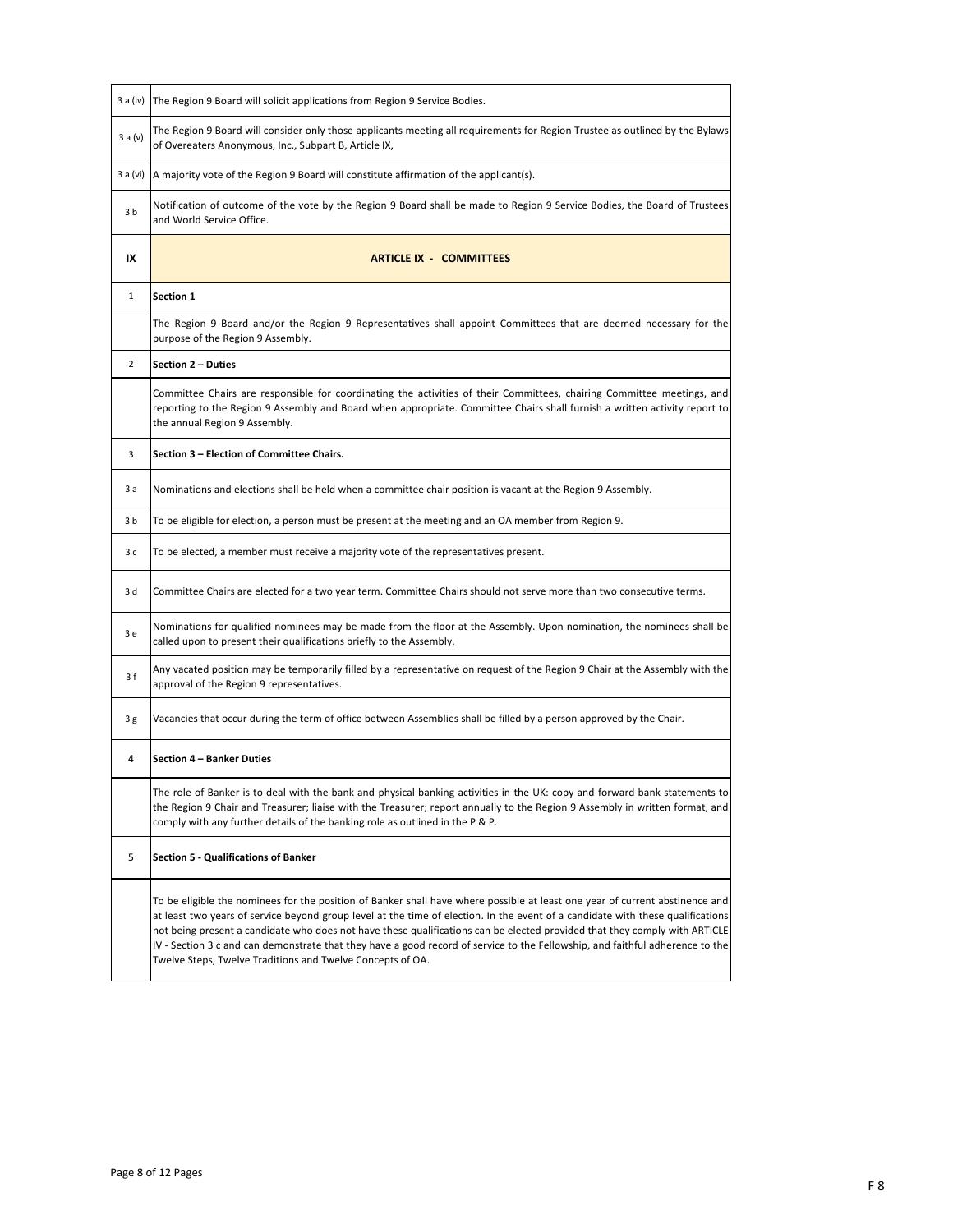| 3 a (iv)       | The Region 9 Board will solicit applications from Region 9 Service Bodies.                                                                                                                                                                                                                                                                                                                                                                                                                                                                                                                   |
|----------------|----------------------------------------------------------------------------------------------------------------------------------------------------------------------------------------------------------------------------------------------------------------------------------------------------------------------------------------------------------------------------------------------------------------------------------------------------------------------------------------------------------------------------------------------------------------------------------------------|
| 3 a (v)        | The Region 9 Board will consider only those applicants meeting all requirements for Region Trustee as outlined by the Bylaws<br>of Overeaters Anonymous, Inc., Subpart B, Article IX,                                                                                                                                                                                                                                                                                                                                                                                                        |
| 3 a (vi)       | A majority vote of the Region 9 Board will constitute affirmation of the applicant(s).                                                                                                                                                                                                                                                                                                                                                                                                                                                                                                       |
| 3b             | Notification of outcome of the vote by the Region 9 Board shall be made to Region 9 Service Bodies, the Board of Trustees<br>and World Service Office.                                                                                                                                                                                                                                                                                                                                                                                                                                       |
| IX             | <b>ARTICLE IX - COMMITTEES</b>                                                                                                                                                                                                                                                                                                                                                                                                                                                                                                                                                               |
| $\mathbf{1}$   | Section 1                                                                                                                                                                                                                                                                                                                                                                                                                                                                                                                                                                                    |
|                | The Region 9 Board and/or the Region 9 Representatives shall appoint Committees that are deemed necessary for the<br>purpose of the Region 9 Assembly.                                                                                                                                                                                                                                                                                                                                                                                                                                       |
| $\overline{2}$ | Section 2 - Duties                                                                                                                                                                                                                                                                                                                                                                                                                                                                                                                                                                           |
|                | Committee Chairs are responsible for coordinating the activities of their Committees, chairing Committee meetings, and<br>reporting to the Region 9 Assembly and Board when appropriate. Committee Chairs shall furnish a written activity report to<br>the annual Region 9 Assembly.                                                                                                                                                                                                                                                                                                        |
| 3              | Section 3 - Election of Committee Chairs.                                                                                                                                                                                                                                                                                                                                                                                                                                                                                                                                                    |
| 3 a            | Nominations and elections shall be held when a committee chair position is vacant at the Region 9 Assembly.                                                                                                                                                                                                                                                                                                                                                                                                                                                                                  |
| 3b             | To be eligible for election, a person must be present at the meeting and an OA member from Region 9.                                                                                                                                                                                                                                                                                                                                                                                                                                                                                         |
| 3 c            | To be elected, a member must receive a majority vote of the representatives present.                                                                                                                                                                                                                                                                                                                                                                                                                                                                                                         |
| 3 d            | Committee Chairs are elected for a two year term. Committee Chairs should not serve more than two consecutive terms.                                                                                                                                                                                                                                                                                                                                                                                                                                                                         |
| 3 e            | Nominations for qualified nominees may be made from the floor at the Assembly. Upon nomination, the nominees shall be<br>called upon to present their qualifications briefly to the Assembly.                                                                                                                                                                                                                                                                                                                                                                                                |
| 3f             | Any vacated position may be temporarily filled by a representative on request of the Region 9 Chair at the Assembly with the<br>approval of the Region 9 representatives.                                                                                                                                                                                                                                                                                                                                                                                                                    |
| 3g             | Vacancies that occur during the term of office between Assemblies shall be filled by a person approved by the Chair.                                                                                                                                                                                                                                                                                                                                                                                                                                                                         |
| 4              | Section 4 - Banker Duties                                                                                                                                                                                                                                                                                                                                                                                                                                                                                                                                                                    |
|                | The role of Banker is to deal with the bank and physical banking activities in the UK: copy and forward bank statements to<br>the Region 9 Chair and Treasurer; liaise with the Treasurer; report annually to the Region 9 Assembly in written format, and<br>comply with any further details of the banking role as outlined in the P & P.                                                                                                                                                                                                                                                  |
| 5              | <b>Section 5 - Qualifications of Banker</b>                                                                                                                                                                                                                                                                                                                                                                                                                                                                                                                                                  |
|                | To be eligible the nominees for the position of Banker shall have where possible at least one year of current abstinence and<br>at least two years of service beyond group level at the time of election. In the event of a candidate with these qualifications<br>not being present a candidate who does not have these qualifications can be elected provided that they comply with ARTICLE<br>IV - Section 3 c and can demonstrate that they have a good record of service to the Fellowship, and faithful adherence to the<br>Twelve Steps, Twelve Traditions and Twelve Concepts of OA. |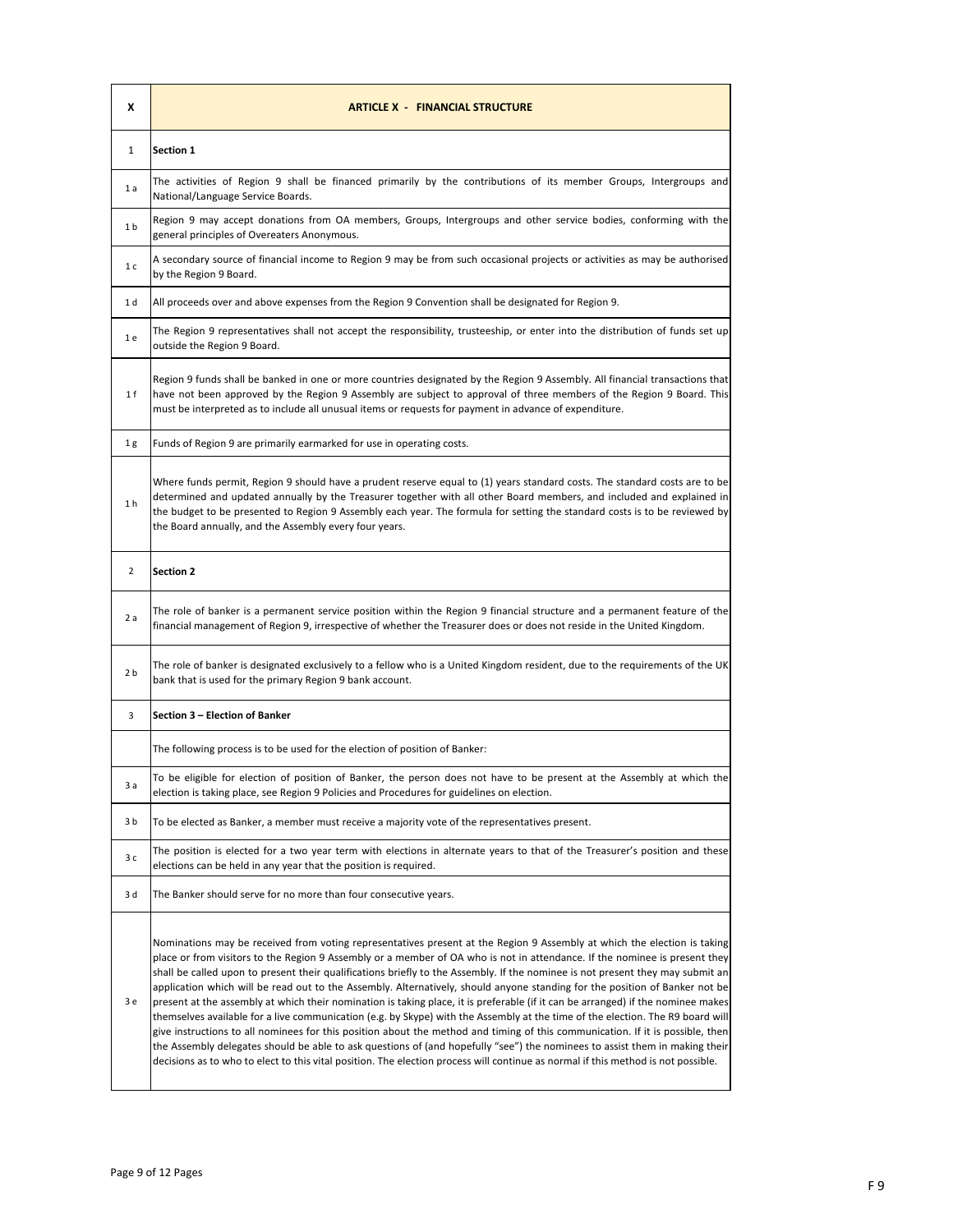| x              | <b>ARTICLE X - FINANCIAL STRUCTURE</b>                                                                                                                                                                                                                                                                                                                                                                                                                                                                                                                                                                                                                                                                                                                                                                                                                                                                                                                                                                                                                                                                                                                                                              |
|----------------|-----------------------------------------------------------------------------------------------------------------------------------------------------------------------------------------------------------------------------------------------------------------------------------------------------------------------------------------------------------------------------------------------------------------------------------------------------------------------------------------------------------------------------------------------------------------------------------------------------------------------------------------------------------------------------------------------------------------------------------------------------------------------------------------------------------------------------------------------------------------------------------------------------------------------------------------------------------------------------------------------------------------------------------------------------------------------------------------------------------------------------------------------------------------------------------------------------|
| $\mathbf{1}$   | Section 1                                                                                                                                                                                                                                                                                                                                                                                                                                                                                                                                                                                                                                                                                                                                                                                                                                                                                                                                                                                                                                                                                                                                                                                           |
| 1a             | The activities of Region 9 shall be financed primarily by the contributions of its member Groups, Intergroups and<br>National/Language Service Boards.                                                                                                                                                                                                                                                                                                                                                                                                                                                                                                                                                                                                                                                                                                                                                                                                                                                                                                                                                                                                                                              |
| 1 <sub>b</sub> | Region 9 may accept donations from OA members, Groups, Intergroups and other service bodies, conforming with the<br>general principles of Overeaters Anonymous.                                                                                                                                                                                                                                                                                                                                                                                                                                                                                                                                                                                                                                                                                                                                                                                                                                                                                                                                                                                                                                     |
| 1 <sub>c</sub> | A secondary source of financial income to Region 9 may be from such occasional projects or activities as may be authorised<br>by the Region 9 Board.                                                                                                                                                                                                                                                                                                                                                                                                                                                                                                                                                                                                                                                                                                                                                                                                                                                                                                                                                                                                                                                |
| 1 d            | All proceeds over and above expenses from the Region 9 Convention shall be designated for Region 9.                                                                                                                                                                                                                                                                                                                                                                                                                                                                                                                                                                                                                                                                                                                                                                                                                                                                                                                                                                                                                                                                                                 |
| 1e             | The Region 9 representatives shall not accept the responsibility, trusteeship, or enter into the distribution of funds set up<br>outside the Region 9 Board.                                                                                                                                                                                                                                                                                                                                                                                                                                                                                                                                                                                                                                                                                                                                                                                                                                                                                                                                                                                                                                        |
| 1 f            | Region 9 funds shall be banked in one or more countries designated by the Region 9 Assembly. All financial transactions that<br>have not been approved by the Region 9 Assembly are subject to approval of three members of the Region 9 Board. This<br>must be interpreted as to include all unusual items or requests for payment in advance of expenditure.                                                                                                                                                                                                                                                                                                                                                                                                                                                                                                                                                                                                                                                                                                                                                                                                                                      |
| 1g             | Funds of Region 9 are primarily earmarked for use in operating costs.                                                                                                                                                                                                                                                                                                                                                                                                                                                                                                                                                                                                                                                                                                                                                                                                                                                                                                                                                                                                                                                                                                                               |
| 1 <sub>h</sub> | Where funds permit, Region 9 should have a prudent reserve equal to (1) years standard costs. The standard costs are to be<br>determined and updated annually by the Treasurer together with all other Board members, and included and explained in<br>the budget to be presented to Region 9 Assembly each year. The formula for setting the standard costs is to be reviewed by<br>the Board annually, and the Assembly every four years.                                                                                                                                                                                                                                                                                                                                                                                                                                                                                                                                                                                                                                                                                                                                                         |
| $\overline{2}$ | Section 2                                                                                                                                                                                                                                                                                                                                                                                                                                                                                                                                                                                                                                                                                                                                                                                                                                                                                                                                                                                                                                                                                                                                                                                           |
| 2a             | The role of banker is a permanent service position within the Region 9 financial structure and a permanent feature of the<br>financial management of Region 9, irrespective of whether the Treasurer does or does not reside in the United Kingdom.                                                                                                                                                                                                                                                                                                                                                                                                                                                                                                                                                                                                                                                                                                                                                                                                                                                                                                                                                 |
| 2 <sub>b</sub> | The role of banker is designated exclusively to a fellow who is a United Kingdom resident, due to the requirements of the UK<br>bank that is used for the primary Region 9 bank account.                                                                                                                                                                                                                                                                                                                                                                                                                                                                                                                                                                                                                                                                                                                                                                                                                                                                                                                                                                                                            |
| 3              | Section 3 - Election of Banker                                                                                                                                                                                                                                                                                                                                                                                                                                                                                                                                                                                                                                                                                                                                                                                                                                                                                                                                                                                                                                                                                                                                                                      |
|                | The following process is to be used for the election of position of Banker:                                                                                                                                                                                                                                                                                                                                                                                                                                                                                                                                                                                                                                                                                                                                                                                                                                                                                                                                                                                                                                                                                                                         |
| 3а             | To be eligible for election of position of Banker, the person does not have to be present at the Assembly at which the<br>election is taking place, see Region 9 Policies and Procedures for guidelines on election.                                                                                                                                                                                                                                                                                                                                                                                                                                                                                                                                                                                                                                                                                                                                                                                                                                                                                                                                                                                |
| 3 <sub>b</sub> | To be elected as Banker, a member must receive a majority vote of the representatives present.                                                                                                                                                                                                                                                                                                                                                                                                                                                                                                                                                                                                                                                                                                                                                                                                                                                                                                                                                                                                                                                                                                      |
| 3c             | The position is elected for a two year term with elections in alternate years to that of the Treasurer's position and these<br>elections can be held in any year that the position is required.                                                                                                                                                                                                                                                                                                                                                                                                                                                                                                                                                                                                                                                                                                                                                                                                                                                                                                                                                                                                     |
| 3 d            | The Banker should serve for no more than four consecutive years.                                                                                                                                                                                                                                                                                                                                                                                                                                                                                                                                                                                                                                                                                                                                                                                                                                                                                                                                                                                                                                                                                                                                    |
| 3e             | Nominations may be received from voting representatives present at the Region 9 Assembly at which the election is taking<br>place or from visitors to the Region 9 Assembly or a member of OA who is not in attendance. If the nominee is present they<br>shall be called upon to present their qualifications briefly to the Assembly. If the nominee is not present they may submit an<br>application which will be read out to the Assembly. Alternatively, should anyone standing for the position of Banker not be<br>present at the assembly at which their nomination is taking place, it is preferable (if it can be arranged) if the nominee makes<br>themselves available for a live communication (e.g. by Skype) with the Assembly at the time of the election. The R9 board will<br>give instructions to all nominees for this position about the method and timing of this communication. If it is possible, then<br>the Assembly delegates should be able to ask questions of (and hopefully "see") the nominees to assist them in making their<br>decisions as to who to elect to this vital position. The election process will continue as normal if this method is not possible. |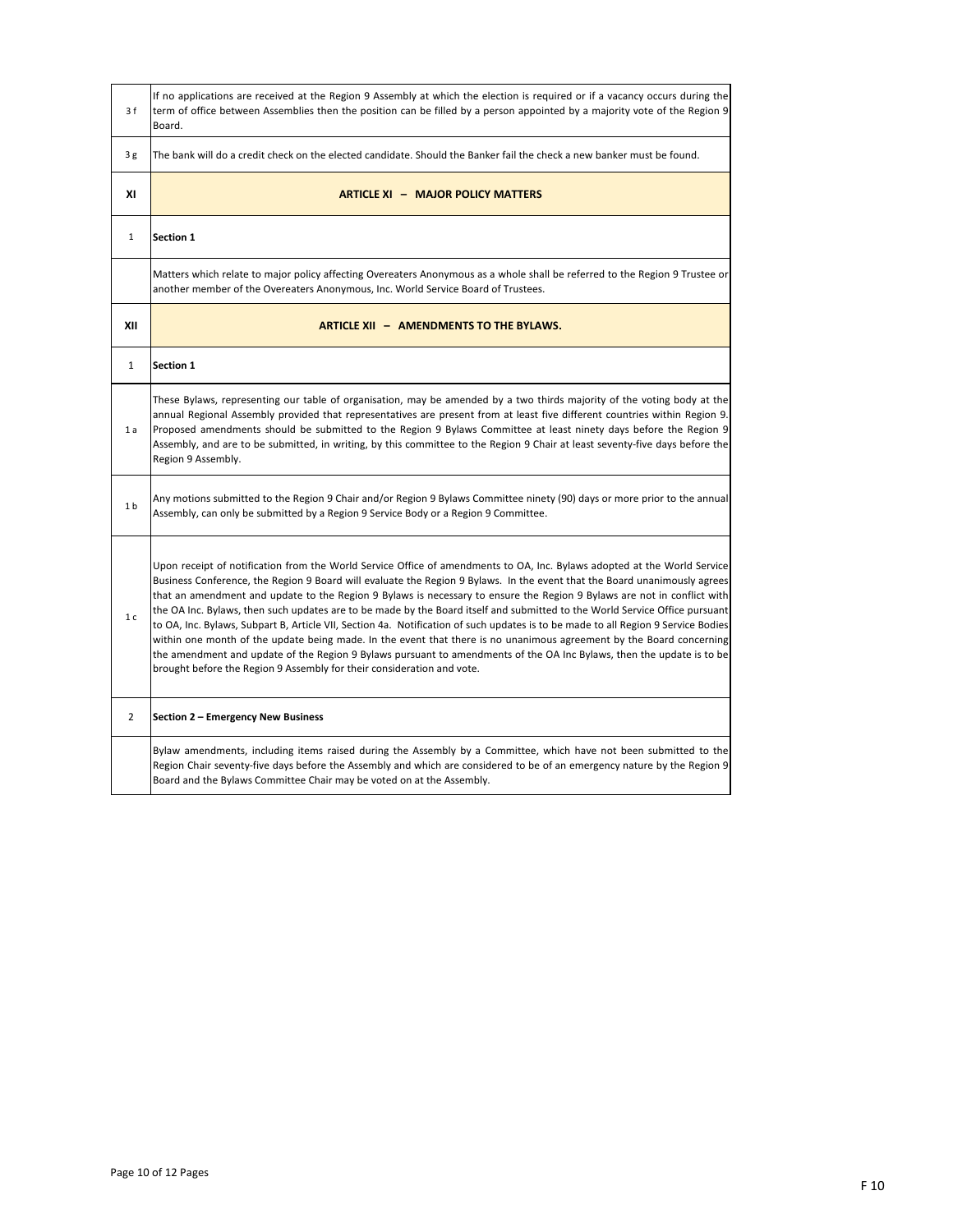| 3f             | If no applications are received at the Region 9 Assembly at which the election is required or if a vacancy occurs during the<br>term of office between Assemblies then the position can be filled by a person appointed by a majority vote of the Region 9<br>Board.                                                                                                                                                                                                                                                                                                                                                                                                                                                                                                                                                                                                                                                                                                            |
|----------------|---------------------------------------------------------------------------------------------------------------------------------------------------------------------------------------------------------------------------------------------------------------------------------------------------------------------------------------------------------------------------------------------------------------------------------------------------------------------------------------------------------------------------------------------------------------------------------------------------------------------------------------------------------------------------------------------------------------------------------------------------------------------------------------------------------------------------------------------------------------------------------------------------------------------------------------------------------------------------------|
| 3g             | The bank will do a credit check on the elected candidate. Should the Banker fail the check a new banker must be found.                                                                                                                                                                                                                                                                                                                                                                                                                                                                                                                                                                                                                                                                                                                                                                                                                                                          |
| ΧI             | <b>ARTICLE XI - MAJOR POLICY MATTERS</b>                                                                                                                                                                                                                                                                                                                                                                                                                                                                                                                                                                                                                                                                                                                                                                                                                                                                                                                                        |
| $\mathbf{1}$   | Section 1                                                                                                                                                                                                                                                                                                                                                                                                                                                                                                                                                                                                                                                                                                                                                                                                                                                                                                                                                                       |
|                | Matters which relate to major policy affecting Overeaters Anonymous as a whole shall be referred to the Region 9 Trustee or<br>another member of the Overeaters Anonymous, Inc. World Service Board of Trustees.                                                                                                                                                                                                                                                                                                                                                                                                                                                                                                                                                                                                                                                                                                                                                                |
| XII            | ARTICLE XII - AMENDMENTS TO THE BYLAWS.                                                                                                                                                                                                                                                                                                                                                                                                                                                                                                                                                                                                                                                                                                                                                                                                                                                                                                                                         |
| $\mathbf{1}$   | Section 1                                                                                                                                                                                                                                                                                                                                                                                                                                                                                                                                                                                                                                                                                                                                                                                                                                                                                                                                                                       |
| 1a             | These Bylaws, representing our table of organisation, may be amended by a two thirds majority of the voting body at the<br>annual Regional Assembly provided that representatives are present from at least five different countries within Region 9.<br>Proposed amendments should be submitted to the Region 9 Bylaws Committee at least ninety days before the Region 9<br>Assembly, and are to be submitted, in writing, by this committee to the Region 9 Chair at least seventy-five days before the<br>Region 9 Assembly.                                                                                                                                                                                                                                                                                                                                                                                                                                                |
| 1 <sub>b</sub> | Any motions submitted to the Region 9 Chair and/or Region 9 Bylaws Committee ninety (90) days or more prior to the annual<br>Assembly, can only be submitted by a Region 9 Service Body or a Region 9 Committee.                                                                                                                                                                                                                                                                                                                                                                                                                                                                                                                                                                                                                                                                                                                                                                |
| 1 <sub>c</sub> | Upon receipt of notification from the World Service Office of amendments to OA, Inc. Bylaws adopted at the World Service<br>Business Conference, the Region 9 Board will evaluate the Region 9 Bylaws. In the event that the Board unanimously agrees<br>that an amendment and update to the Region 9 Bylaws is necessary to ensure the Region 9 Bylaws are not in conflict with<br>the OA Inc. Bylaws, then such updates are to be made by the Board itself and submitted to the World Service Office pursuant<br>to OA, Inc. Bylaws, Subpart B, Article VII, Section 4a. Notification of such updates is to be made to all Region 9 Service Bodies<br>within one month of the update being made. In the event that there is no unanimous agreement by the Board concerning<br>the amendment and update of the Region 9 Bylaws pursuant to amendments of the OA Inc Bylaws, then the update is to be<br>brought before the Region 9 Assembly for their consideration and vote. |
| $\overline{2}$ | Section 2 - Emergency New Business                                                                                                                                                                                                                                                                                                                                                                                                                                                                                                                                                                                                                                                                                                                                                                                                                                                                                                                                              |
|                | Bylaw amendments, including items raised during the Assembly by a Committee, which have not been submitted to the<br>Region Chair seventy-five days before the Assembly and which are considered to be of an emergency nature by the Region 9<br>Board and the Bylaws Committee Chair may be voted on at the Assembly.                                                                                                                                                                                                                                                                                                                                                                                                                                                                                                                                                                                                                                                          |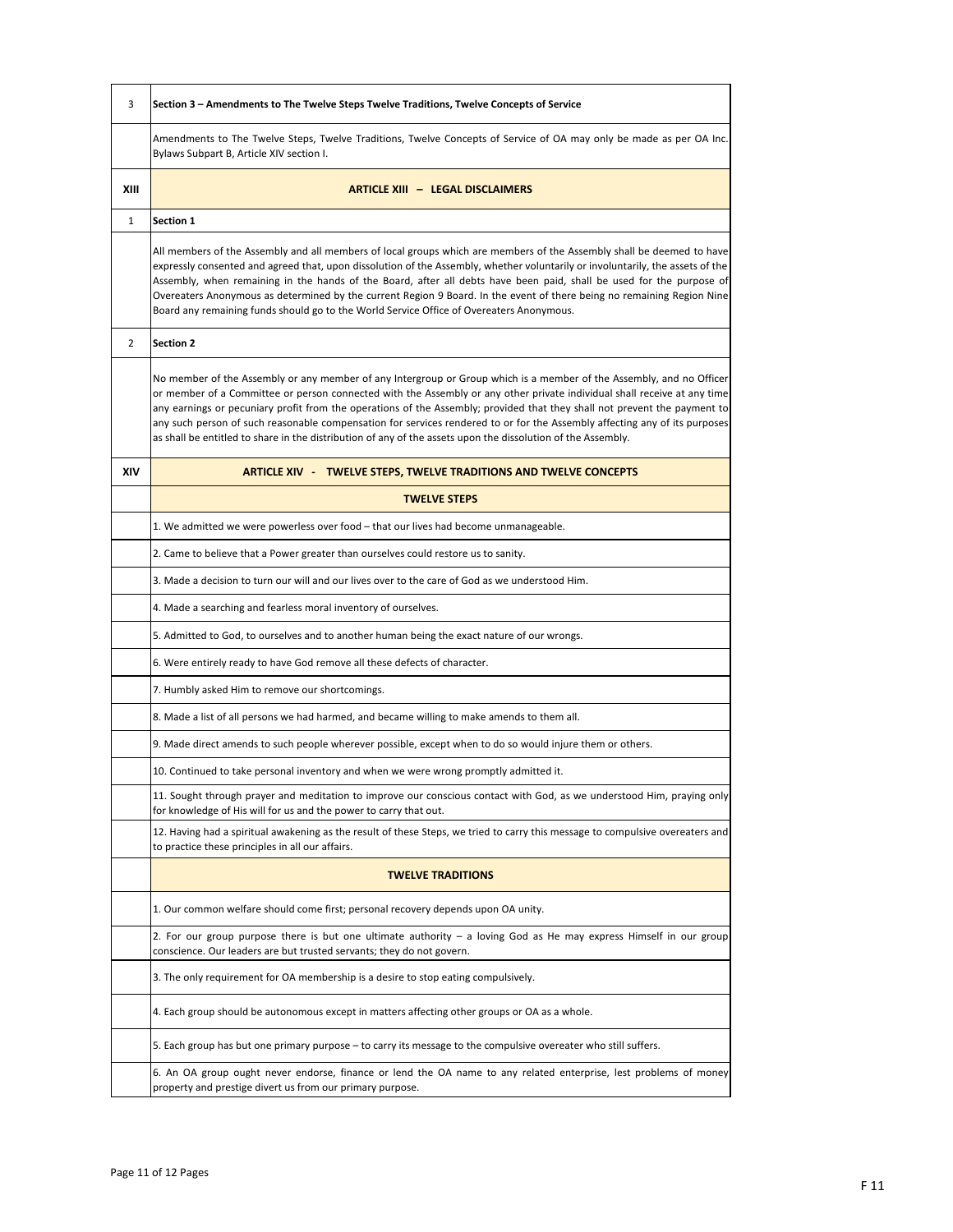| 3              | Section 3 - Amendments to The Twelve Steps Twelve Traditions, Twelve Concepts of Service                                                                                                                                                                                                                                                                                                                                                                                                                                                                                                                                    |
|----------------|-----------------------------------------------------------------------------------------------------------------------------------------------------------------------------------------------------------------------------------------------------------------------------------------------------------------------------------------------------------------------------------------------------------------------------------------------------------------------------------------------------------------------------------------------------------------------------------------------------------------------------|
|                | Amendments to The Twelve Steps, Twelve Traditions, Twelve Concepts of Service of OA may only be made as per OA Inc.<br>Bylaws Subpart B, Article XIV section I.                                                                                                                                                                                                                                                                                                                                                                                                                                                             |
| XIII           | <b>ARTICLE XIII - LEGAL DISCLAIMERS</b>                                                                                                                                                                                                                                                                                                                                                                                                                                                                                                                                                                                     |
| $\mathbf{1}$   | Section 1                                                                                                                                                                                                                                                                                                                                                                                                                                                                                                                                                                                                                   |
|                | All members of the Assembly and all members of local groups which are members of the Assembly shall be deemed to have<br>expressly consented and agreed that, upon dissolution of the Assembly, whether voluntarily or involuntarily, the assets of the<br>Assembly, when remaining in the hands of the Board, after all debts have been paid, shall be used for the purpose of<br>Overeaters Anonymous as determined by the current Region 9 Board. In the event of there being no remaining Region Nine<br>Board any remaining funds should go to the World Service Office of Overeaters Anonymous.                       |
| $\overline{2}$ | <b>Section 2</b>                                                                                                                                                                                                                                                                                                                                                                                                                                                                                                                                                                                                            |
|                | No member of the Assembly or any member of any Intergroup or Group which is a member of the Assembly, and no Officer<br>or member of a Committee or person connected with the Assembly or any other private individual shall receive at any time<br>any earnings or pecuniary profit from the operations of the Assembly; provided that they shall not prevent the payment to<br>any such person of such reasonable compensation for services rendered to or for the Assembly affecting any of its purposes<br>as shall be entitled to share in the distribution of any of the assets upon the dissolution of the Assembly. |
| XIV            | <b>ARTICLE XIV - TWELVE STEPS, TWELVE TRADITIONS AND TWELVE CONCEPTS</b>                                                                                                                                                                                                                                                                                                                                                                                                                                                                                                                                                    |
|                | <b>TWELVE STEPS</b>                                                                                                                                                                                                                                                                                                                                                                                                                                                                                                                                                                                                         |
|                | 1. We admitted we were powerless over food – that our lives had become unmanageable.                                                                                                                                                                                                                                                                                                                                                                                                                                                                                                                                        |
|                | 2. Came to believe that a Power greater than ourselves could restore us to sanity.                                                                                                                                                                                                                                                                                                                                                                                                                                                                                                                                          |
|                | 3. Made a decision to turn our will and our lives over to the care of God as we understood Him.                                                                                                                                                                                                                                                                                                                                                                                                                                                                                                                             |
|                | 4. Made a searching and fearless moral inventory of ourselves.                                                                                                                                                                                                                                                                                                                                                                                                                                                                                                                                                              |
|                | 5. Admitted to God, to ourselves and to another human being the exact nature of our wrongs.                                                                                                                                                                                                                                                                                                                                                                                                                                                                                                                                 |
|                | 6. Were entirely ready to have God remove all these defects of character.                                                                                                                                                                                                                                                                                                                                                                                                                                                                                                                                                   |
|                | 7. Humbly asked Him to remove our shortcomings.                                                                                                                                                                                                                                                                                                                                                                                                                                                                                                                                                                             |
|                | 8. Made a list of all persons we had harmed, and became willing to make amends to them all.                                                                                                                                                                                                                                                                                                                                                                                                                                                                                                                                 |
|                | 9. Made direct amends to such people wherever possible, except when to do so would injure them or others.                                                                                                                                                                                                                                                                                                                                                                                                                                                                                                                   |
|                | 10. Continued to take personal inventory and when we were wrong promptly admitted it.                                                                                                                                                                                                                                                                                                                                                                                                                                                                                                                                       |
|                | 11. Sought through prayer and meditation to improve our conscious contact with God, as we understood Him, praying only<br>for knowledge of His will for us and the power to carry that out.                                                                                                                                                                                                                                                                                                                                                                                                                                 |
|                | 12. Having had a spiritual awakening as the result of these Steps, we tried to carry this message to compulsive overeaters and<br>to practice these principles in all our affairs.                                                                                                                                                                                                                                                                                                                                                                                                                                          |
|                | <b>TWELVE TRADITIONS</b>                                                                                                                                                                                                                                                                                                                                                                                                                                                                                                                                                                                                    |
|                | 1. Our common welfare should come first; personal recovery depends upon OA unity.                                                                                                                                                                                                                                                                                                                                                                                                                                                                                                                                           |
|                | 2. For our group purpose there is but one ultimate authority $-$ a loving God as He may express Himself in our group<br>conscience. Our leaders are but trusted servants; they do not govern.                                                                                                                                                                                                                                                                                                                                                                                                                               |
|                | 3. The only requirement for OA membership is a desire to stop eating compulsively.                                                                                                                                                                                                                                                                                                                                                                                                                                                                                                                                          |
|                | 4. Each group should be autonomous except in matters affecting other groups or OA as a whole.                                                                                                                                                                                                                                                                                                                                                                                                                                                                                                                               |
|                | 5. Each group has but one primary purpose – to carry its message to the compulsive overeater who still suffers.                                                                                                                                                                                                                                                                                                                                                                                                                                                                                                             |
|                | 6. An OA group ought never endorse, finance or lend the OA name to any related enterprise, lest problems of money<br>property and prestige divert us from our primary purpose.                                                                                                                                                                                                                                                                                                                                                                                                                                              |